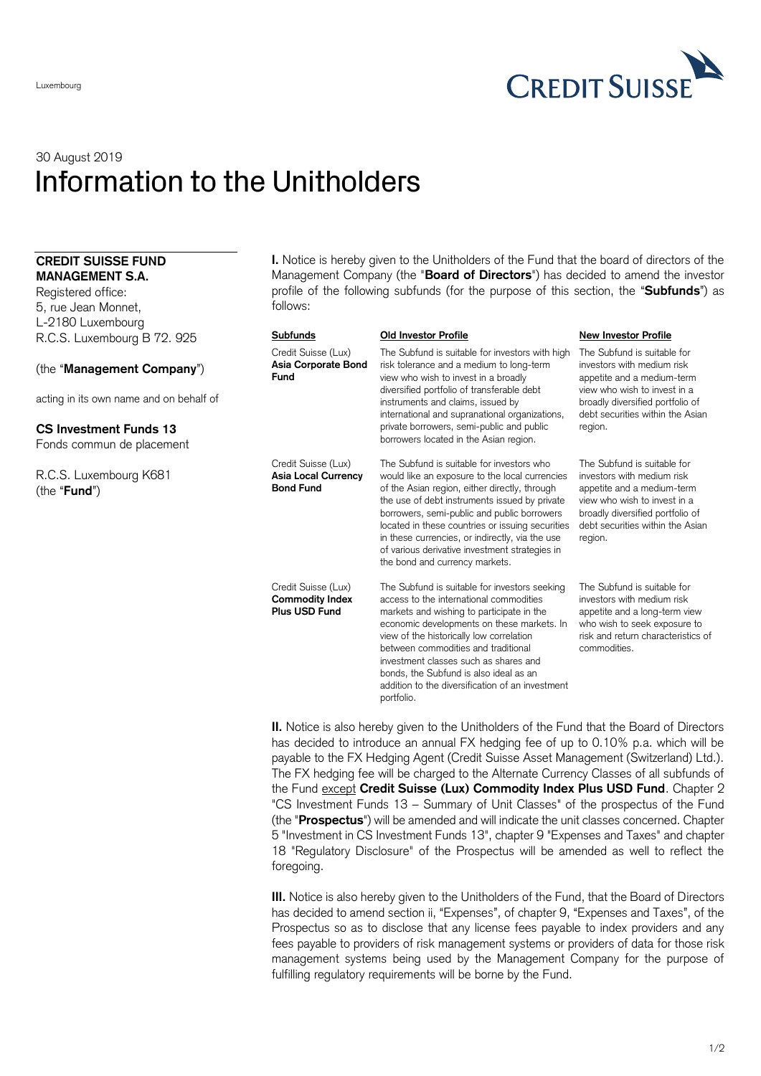

# 30 August 2019 Information to the Unitholders

## **CREDIT SUISSE FUND MANAGEMENT S.A.**

Registered office: 5, rue Jean Monnet, L-2180 Luxembourg R.C.S. Luxembourg B 72. 925

(the "**Management Company**")

acting in its own name and on behalf of

# **CS Investment Funds 13** Fonds commun de placement

R.C.S. Luxembourg K681 (the "**Fund**")

**I.** Notice is hereby given to the Unitholders of the Fund that the board of directors of the Management Company (the "**Board of Directors**") has decided to amend the investor profile of the following subfunds (for the purpose of this section, the "**Subfunds**") as follows:

### **Subfunds Old Investor Profile New Investor Profile**

#### Credit Suisse (Lux) **Asia Corporate Bond Fund** The Subfund is suitable for investors with high risk tolerance and a medium to long-term view who wish to invest in a broadly diversified portfolio of transferable debt instruments and claims, issued by international and supranational organizations, private borrowers, semi-public and public borrowers located in the Asian region. The Subfund is suitable for investors with medium risk appetite and a medium-term view who wish to invest in a broadly diversified portfolio of debt securities within the Asian region. Credit Suisse (Lux) **Asia Local Currency Bond Fund** The Subfund is suitable for investors who would like an exposure to the local currencies of the Asian region, either directly, through the use of debt instruments issued by private borrowers, semi-public and public borrowers located in these countries or issuing securities in these currencies, or indirectly, via the use of various derivative investment strategies in the bond and currency markets. The Subfund is suitable for investors with medium risk appetite and a medium-term view who wish to invest in a broadly diversified portfolio of debt securities within the Asian region. Credit Suisse (Lux) **Commodity Index Plus USD Fund** The Subfund is suitable for investors seeking access to the international commodities markets and wishing to participate in the economic developments on these markets. In view of the historically low correlation between commodities and traditional investment classes such as shares and bonds, the Subfund is also ideal as an addition to the diversification of an investment The Subfund is suitable for investors with medium risk appetite and a long-term view who wish to seek exposure to risk and return characteristics of commodities.

**II.** Notice is also hereby given to the Unitholders of the Fund that the Board of Directors has decided to introduce an annual FX hedging fee of up to 0.10% p.a. which will be payable to the FX Hedging Agent (Credit Suisse Asset Management (Switzerland) Ltd.). The FX hedging fee will be charged to the Alternate Currency Classes of all subfunds of the Fund except **Credit Suisse (Lux) Commodity Index Plus USD Fund**. Chapter 2 "CS Investment Funds 13 – Summary of Unit Classes" of the prospectus of the Fund (the "**Prospectus**") will be amended and will indicate the unit classes concerned. Chapter 5 "Investment in CS Investment Funds 13", chapter 9 "Expenses and Taxes" and chapter 18 "Regulatory Disclosure" of the Prospectus will be amended as well to reflect the foregoing.

portfolio.

**III.** Notice is also hereby given to the Unitholders of the Fund, that the Board of Directors has decided to amend section ii, "Expenses", of chapter 9, "Expenses and Taxes", of the Prospectus so as to disclose that any license fees payable to index providers and any fees payable to providers of risk management systems or providers of data for those risk management systems being used by the Management Company for the purpose of fulfilling regulatory requirements will be borne by the Fund.